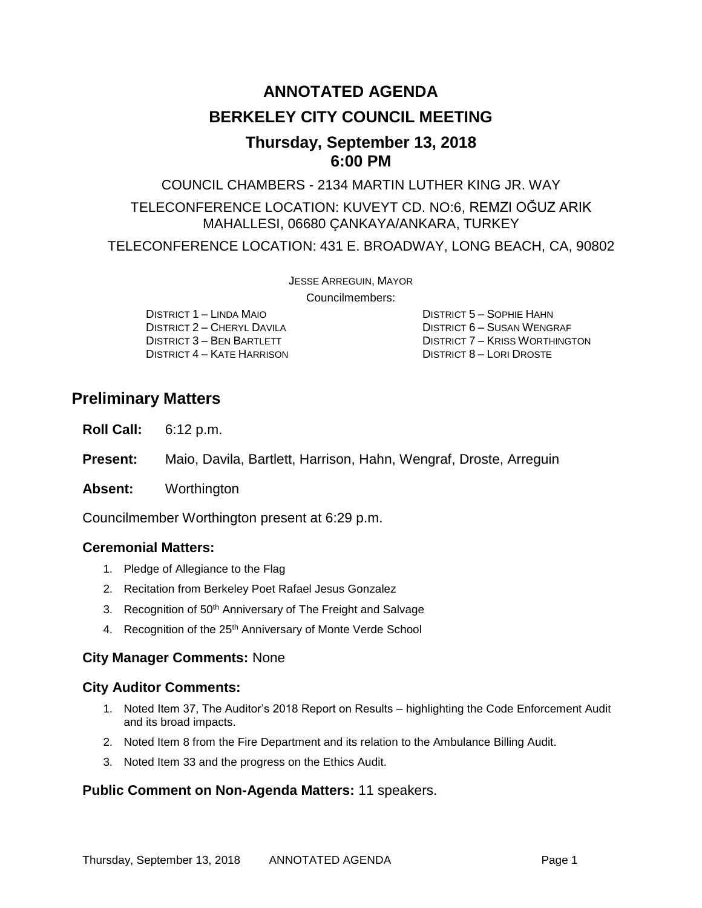# **ANNOTATED AGENDA BERKELEY CITY COUNCIL MEETING**

# **Thursday, September 13, 2018 6:00 PM**

COUNCIL CHAMBERS - 2134 MARTIN LUTHER KING JR. WAY

### TELECONFERENCE LOCATION: KUVEYT CD. NO:6, REMZI OĞUZ ARIK MAHALLESI, 06680 ÇANKAYA/ANKARA, TURKEY

TELECONFERENCE LOCATION: 431 E. BROADWAY, LONG BEACH, CA, 90802

JESSE ARREGUIN, MAYOR

Councilmembers:

DISTRICT 1 – LINDA MAIO DISTRICT 5 – SOPHIE HAHN DISTRICT 4 – KATE HARRISON DISTRICT 8 – LORI DROSTE

DISTRICT 2 – CHERYL DAVILA DISTRICT 6 – SUSAN WENGRAF DISTRICT 3 – BEN BARTLETT DISTRICT 7 – KRISS WORTHINGTON

# **Preliminary Matters**

**Roll Call:** 6:12 p.m.

**Present:** Maio, Davila, Bartlett, Harrison, Hahn, Wengraf, Droste, Arreguin

**Absent:** Worthington

Councilmember Worthington present at 6:29 p.m.

### **Ceremonial Matters:**

- 1. Pledge of Allegiance to the Flag
- 2. Recitation from Berkeley Poet Rafael Jesus Gonzalez
- 3. Recognition of 50<sup>th</sup> Anniversary of The Freight and Salvage
- 4. Recognition of the 25<sup>th</sup> Anniversary of Monte Verde School

### **City Manager Comments:** None

### **City Auditor Comments:**

- 1. Noted Item 37, The Auditor's 2018 Report on Results highlighting the Code Enforcement Audit and its broad impacts.
- 2. Noted Item 8 from the Fire Department and its relation to the Ambulance Billing Audit.
- 3. Noted Item 33 and the progress on the Ethics Audit.

### **Public Comment on Non-Agenda Matters:** 11 speakers.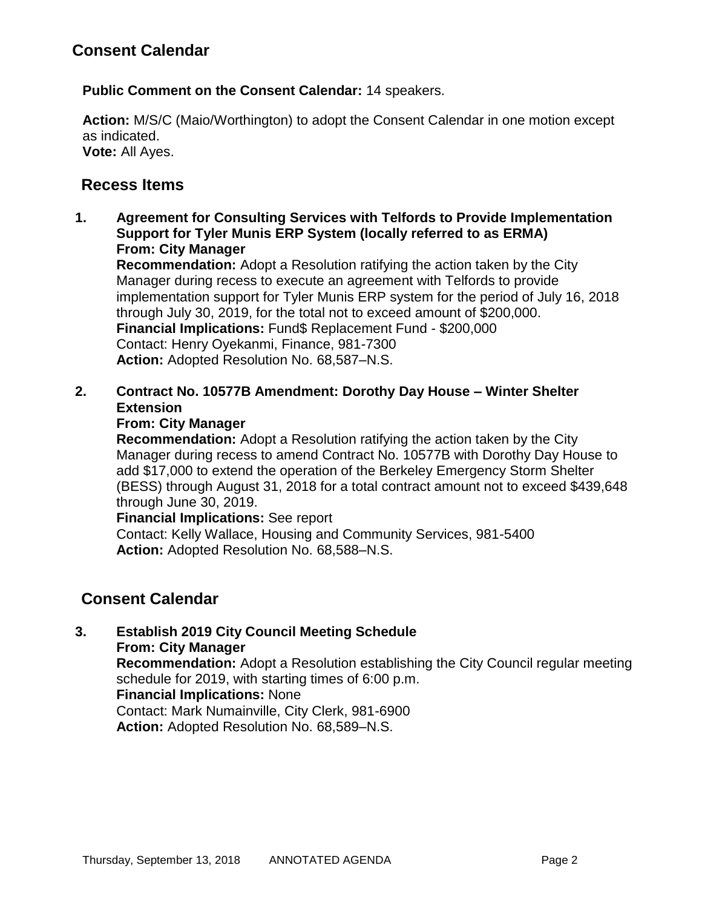**Public Comment on the Consent Calendar:** 14 speakers.

**Action:** M/S/C (Maio/Worthington) to adopt the Consent Calendar in one motion except as indicated. **Vote:** All Ayes.

# **Recess Items**

**1. Agreement for Consulting Services with Telfords to Provide Implementation Support for Tyler Munis ERP System (locally referred to as ERMA) From: City Manager**

**Recommendation:** Adopt a Resolution ratifying the action taken by the City Manager during recess to execute an agreement with Telfords to provide implementation support for Tyler Munis ERP system for the period of July 16, 2018 through July 30, 2019, for the total not to exceed amount of \$200,000. **Financial Implications:** Fund\$ Replacement Fund - \$200,000 Contact: Henry Oyekanmi, Finance, 981-7300 **Action:** Adopted Resolution No. 68,587–N.S.

**2. Contract No. 10577B Amendment: Dorothy Day House – Winter Shelter Extension**

### **From: City Manager**

**Recommendation:** Adopt a Resolution ratifying the action taken by the City Manager during recess to amend Contract No. 10577B with Dorothy Day House to add \$17,000 to extend the operation of the Berkeley Emergency Storm Shelter (BESS) through August 31, 2018 for a total contract amount not to exceed \$439,648 through June 30, 2019.

**Financial Implications:** See report

Contact: Kelly Wallace, Housing and Community Services, 981-5400 **Action:** Adopted Resolution No. 68,588–N.S.

# **Consent Calendar**

#### **3. Establish 2019 City Council Meeting Schedule From: City Manager**

**Recommendation:** Adopt a Resolution establishing the City Council regular meeting schedule for 2019, with starting times of 6:00 p.m.

### **Financial Implications:** None

Contact: Mark Numainville, City Clerk, 981-6900

**Action:** Adopted Resolution No. 68,589–N.S.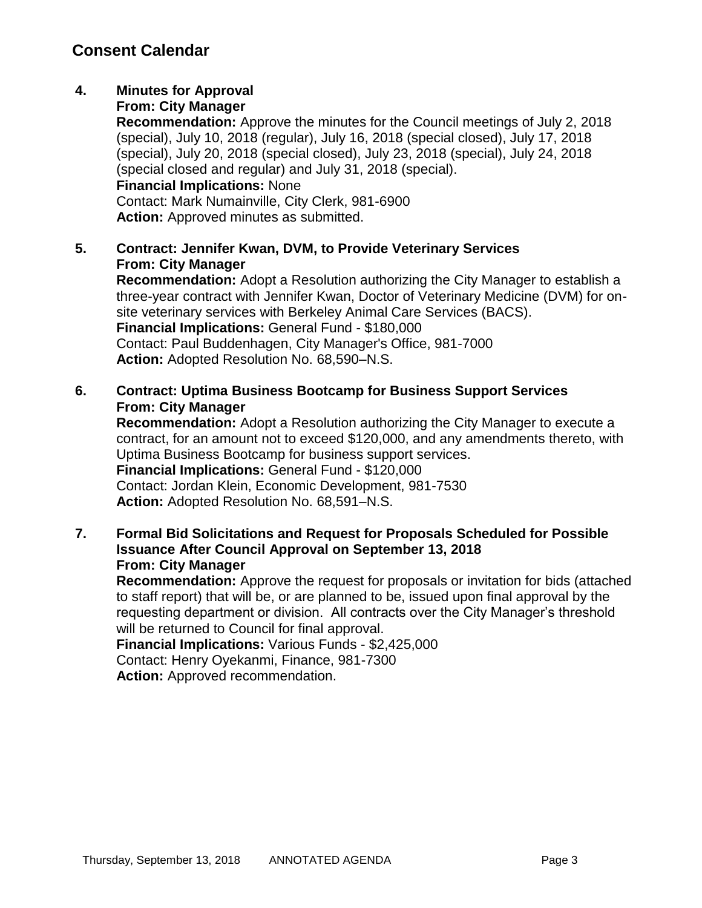# **4. Minutes for Approval**

#### **From: City Manager**

**Recommendation:** Approve the minutes for the Council meetings of July 2, 2018 (special), July 10, 2018 (regular), July 16, 2018 (special closed), July 17, 2018 (special), July 20, 2018 (special closed), July 23, 2018 (special), July 24, 2018 (special closed and regular) and July 31, 2018 (special). **Financial Implications:** None

Contact: Mark Numainville, City Clerk, 981-6900 **Action:** Approved minutes as submitted.

### **5. Contract: Jennifer Kwan, DVM, to Provide Veterinary Services From: City Manager**

**Recommendation:** Adopt a Resolution authorizing the City Manager to establish a three-year contract with Jennifer Kwan, Doctor of Veterinary Medicine (DVM) for onsite veterinary services with Berkeley Animal Care Services (BACS). **Financial Implications:** General Fund - \$180,000 Contact: Paul Buddenhagen, City Manager's Office, 981-7000 **Action:** Adopted Resolution No. 68,590–N.S.

### **6. Contract: Uptima Business Bootcamp for Business Support Services From: City Manager**

**Recommendation:** Adopt a Resolution authorizing the City Manager to execute a contract, for an amount not to exceed \$120,000, and any amendments thereto, with Uptima Business Bootcamp for business support services. **Financial Implications:** General Fund - \$120,000 Contact: Jordan Klein, Economic Development, 981-7530 **Action:** Adopted Resolution No. 68,591–N.S.

### **7. Formal Bid Solicitations and Request for Proposals Scheduled for Possible Issuance After Council Approval on September 13, 2018 From: City Manager**

**Recommendation:** Approve the request for proposals or invitation for bids (attached to staff report) that will be, or are planned to be, issued upon final approval by the requesting department or division. All contracts over the City Manager's threshold will be returned to Council for final approval.

**Financial Implications:** Various Funds - \$2,425,000 Contact: Henry Oyekanmi, Finance, 981-7300 **Action:** Approved recommendation.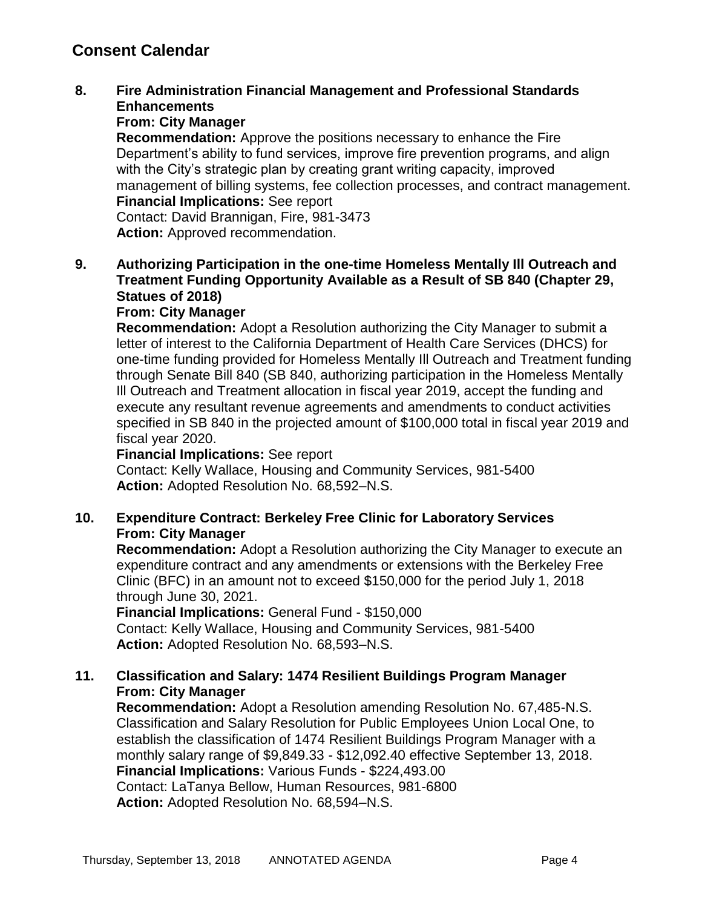### **8. Fire Administration Financial Management and Professional Standards Enhancements**

### **From: City Manager**

**Recommendation:** Approve the positions necessary to enhance the Fire Department's ability to fund services, improve fire prevention programs, and align with the City's strategic plan by creating grant writing capacity, improved management of billing systems, fee collection processes, and contract management. **Financial Implications:** See report

Contact: David Brannigan, Fire, 981-3473 **Action:** Approved recommendation.

### **9. Authorizing Participation in the one-time Homeless Mentally Ill Outreach and Treatment Funding Opportunity Available as a Result of SB 840 (Chapter 29, Statues of 2018)**

#### **From: City Manager**

**Recommendation:** Adopt a Resolution authorizing the City Manager to submit a letter of interest to the California Department of Health Care Services (DHCS) for one-time funding provided for Homeless Mentally Ill Outreach and Treatment funding through Senate Bill 840 (SB 840, authorizing participation in the Homeless Mentally Ill Outreach and Treatment allocation in fiscal year 2019, accept the funding and execute any resultant revenue agreements and amendments to conduct activities specified in SB 840 in the projected amount of \$100,000 total in fiscal year 2019 and fiscal year 2020.

#### **Financial Implications:** See report

Contact: Kelly Wallace, Housing and Community Services, 981-5400 **Action:** Adopted Resolution No. 68,592–N.S.

### **10. Expenditure Contract: Berkeley Free Clinic for Laboratory Services From: City Manager**

**Recommendation:** Adopt a Resolution authorizing the City Manager to execute an expenditure contract and any amendments or extensions with the Berkeley Free Clinic (BFC) in an amount not to exceed \$150,000 for the period July 1, 2018 through June 30, 2021.

#### **Financial Implications:** General Fund - \$150,000

Contact: Kelly Wallace, Housing and Community Services, 981-5400 **Action:** Adopted Resolution No. 68,593–N.S.

### **11. Classification and Salary: 1474 Resilient Buildings Program Manager From: City Manager**

**Recommendation:** Adopt a Resolution amending Resolution No. 67,485-N.S. Classification and Salary Resolution for Public Employees Union Local One, to establish the classification of 1474 Resilient Buildings Program Manager with a monthly salary range of \$9,849.33 - \$12,092.40 effective September 13, 2018. **Financial Implications:** Various Funds - \$224,493.00 Contact: LaTanya Bellow, Human Resources, 981-6800 **Action:** Adopted Resolution No. 68,594–N.S.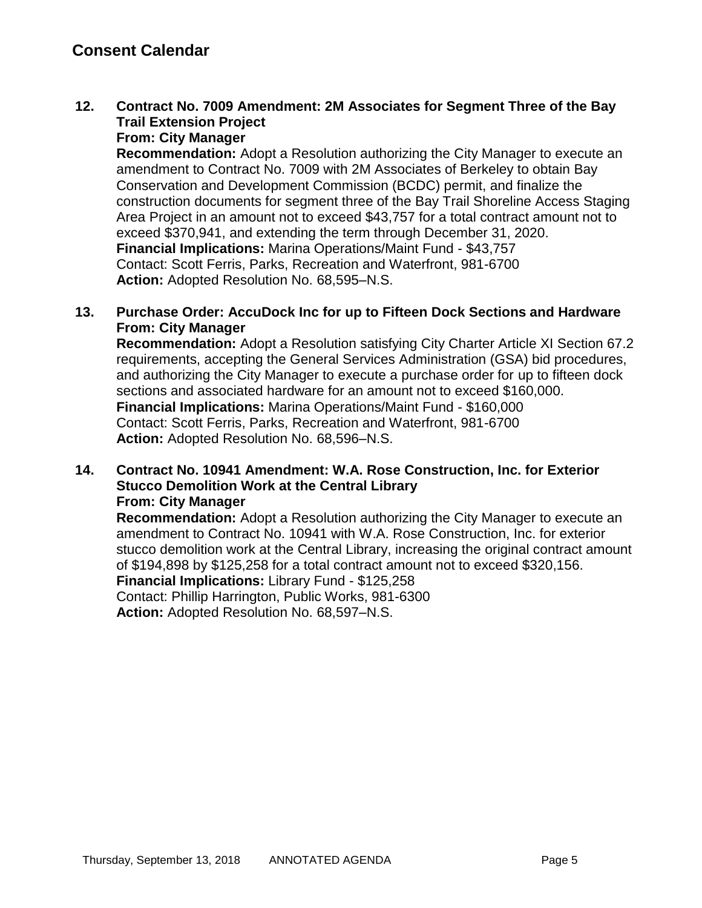# **12. Contract No. 7009 Amendment: 2M Associates for Segment Three of the Bay Trail Extension Project**

**From: City Manager**

**Recommendation:** Adopt a Resolution authorizing the City Manager to execute an amendment to Contract No. 7009 with 2M Associates of Berkeley to obtain Bay Conservation and Development Commission (BCDC) permit, and finalize the construction documents for segment three of the Bay Trail Shoreline Access Staging Area Project in an amount not to exceed \$43,757 for a total contract amount not to exceed \$370,941, and extending the term through December 31, 2020. **Financial Implications:** Marina Operations/Maint Fund - \$43,757 Contact: Scott Ferris, Parks, Recreation and Waterfront, 981-6700 **Action:** Adopted Resolution No. 68,595–N.S.

### **13. Purchase Order: AccuDock Inc for up to Fifteen Dock Sections and Hardware From: City Manager**

**Recommendation:** Adopt a Resolution satisfying City Charter Article XI Section 67.2 requirements, accepting the General Services Administration (GSA) bid procedures, and authorizing the City Manager to execute a purchase order for up to fifteen dock sections and associated hardware for an amount not to exceed \$160,000. **Financial Implications:** Marina Operations/Maint Fund - \$160,000 Contact: Scott Ferris, Parks, Recreation and Waterfront, 981-6700 **Action:** Adopted Resolution No. 68,596–N.S.

#### **14. Contract No. 10941 Amendment: W.A. Rose Construction, Inc. for Exterior Stucco Demolition Work at the Central Library From: City Manager**

**Recommendation:** Adopt a Resolution authorizing the City Manager to execute an amendment to Contract No. 10941 with W.A. Rose Construction, Inc. for exterior stucco demolition work at the Central Library, increasing the original contract amount of \$194,898 by \$125,258 for a total contract amount not to exceed \$320,156. **Financial Implications:** Library Fund - \$125,258 Contact: Phillip Harrington, Public Works, 981-6300 **Action:** Adopted Resolution No. 68,597–N.S.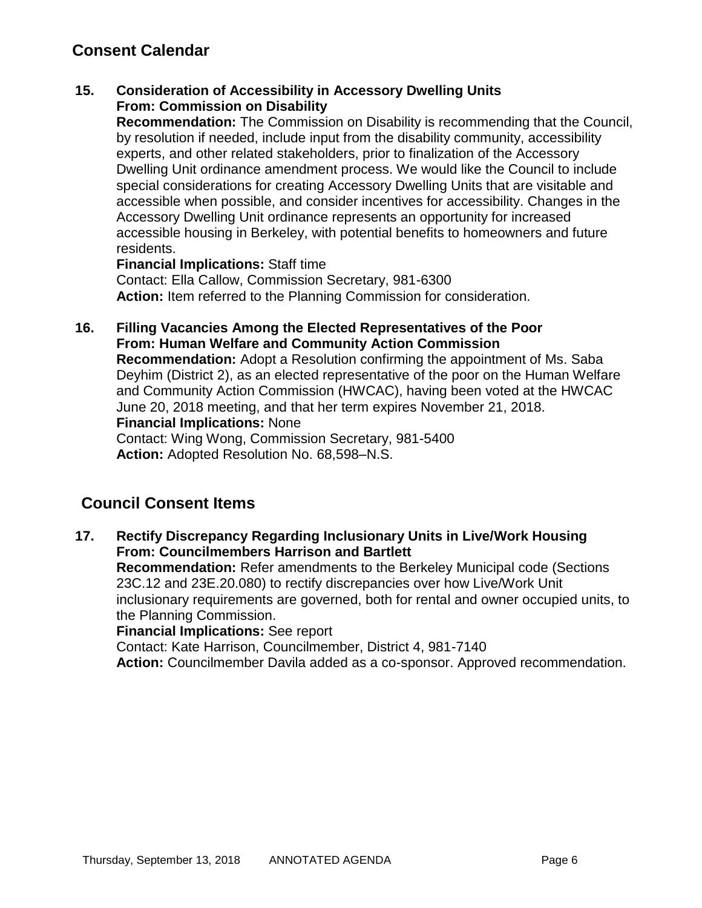### **15. Consideration of Accessibility in Accessory Dwelling Units From: Commission on Disability**

**Recommendation:** The Commission on Disability is recommending that the Council, by resolution if needed, include input from the disability community, accessibility experts, and other related stakeholders, prior to finalization of the Accessory Dwelling Unit ordinance amendment process. We would like the Council to include special considerations for creating Accessory Dwelling Units that are visitable and accessible when possible, and consider incentives for accessibility. Changes in the Accessory Dwelling Unit ordinance represents an opportunity for increased accessible housing in Berkeley, with potential benefits to homeowners and future residents.

#### **Financial Implications:** Staff time

Contact: Ella Callow, Commission Secretary, 981-6300 **Action:** Item referred to the Planning Commission for consideration.

### **16. Filling Vacancies Among the Elected Representatives of the Poor From: Human Welfare and Community Action Commission**

**Recommendation:** Adopt a Resolution confirming the appointment of Ms. Saba Deyhim (District 2), as an elected representative of the poor on the Human Welfare and Community Action Commission (HWCAC), having been voted at the HWCAC June 20, 2018 meeting, and that her term expires November 21, 2018. **Financial Implications:** None

Contact: Wing Wong, Commission Secretary, 981-5400 **Action:** Adopted Resolution No. 68,598–N.S.

# **Council Consent Items**

**17. Rectify Discrepancy Regarding Inclusionary Units in Live/Work Housing From: Councilmembers Harrison and Bartlett Recommendation:** Refer amendments to the Berkeley Municipal code (Sections 23C.12 and 23E.20.080) to rectify discrepancies over how Live/Work Unit inclusionary requirements are governed, both for rental and owner occupied units, to the Planning Commission. **Financial Implications:** See report Contact: Kate Harrison, Councilmember, District 4, 981-7140 **Action:** Councilmember Davila added as a co-sponsor. Approved recommendation.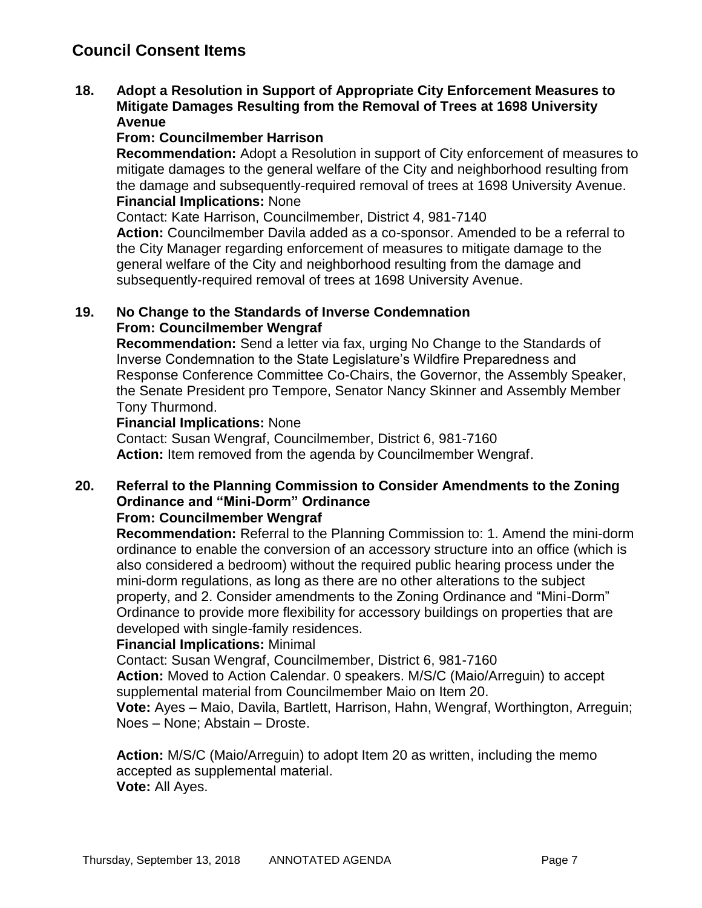# **Council Consent Items**

#### **18. Adopt a Resolution in Support of Appropriate City Enforcement Measures to Mitigate Damages Resulting from the Removal of Trees at 1698 University Avenue**

### **From: Councilmember Harrison**

**Recommendation:** Adopt a Resolution in support of City enforcement of measures to mitigate damages to the general welfare of the City and neighborhood resulting from the damage and subsequently-required removal of trees at 1698 University Avenue. **Financial Implications:** None

Contact: Kate Harrison, Councilmember, District 4, 981-7140

**Action:** Councilmember Davila added as a co-sponsor. Amended to be a referral to the City Manager regarding enforcement of measures to mitigate damage to the general welfare of the City and neighborhood resulting from the damage and subsequently-required removal of trees at 1698 University Avenue.

### **19. No Change to the Standards of Inverse Condemnation From: Councilmember Wengraf**

**Recommendation:** Send a letter via fax, urging No Change to the Standards of Inverse Condemnation to the State Legislature's Wildfire Preparedness and Response Conference Committee Co-Chairs, the Governor, the Assembly Speaker, the Senate President pro Tempore, Senator Nancy Skinner and Assembly Member Tony Thurmond.

#### **Financial Implications:** None

Contact: Susan Wengraf, Councilmember, District 6, 981-7160 **Action:** Item removed from the agenda by Councilmember Wengraf.

# **20. Referral to the Planning Commission to Consider Amendments to the Zoning Ordinance and "Mini-Dorm" Ordinance**

### **From: Councilmember Wengraf**

**Recommendation:** Referral to the Planning Commission to: 1. Amend the mini-dorm ordinance to enable the conversion of an accessory structure into an office (which is also considered a bedroom) without the required public hearing process under the mini-dorm regulations, as long as there are no other alterations to the subject property, and 2. Consider amendments to the Zoning Ordinance and "Mini-Dorm" Ordinance to provide more flexibility for accessory buildings on properties that are developed with single-family residences.

### **Financial Implications:** Minimal

Contact: Susan Wengraf, Councilmember, District 6, 981-7160

**Action:** Moved to Action Calendar. 0 speakers. M/S/C (Maio/Arreguin) to accept supplemental material from Councilmember Maio on Item 20.

**Vote:** Ayes – Maio, Davila, Bartlett, Harrison, Hahn, Wengraf, Worthington, Arreguin; Noes – None; Abstain – Droste.

**Action:** M/S/C (Maio/Arreguin) to adopt Item 20 as written, including the memo accepted as supplemental material. **Vote:** All Ayes.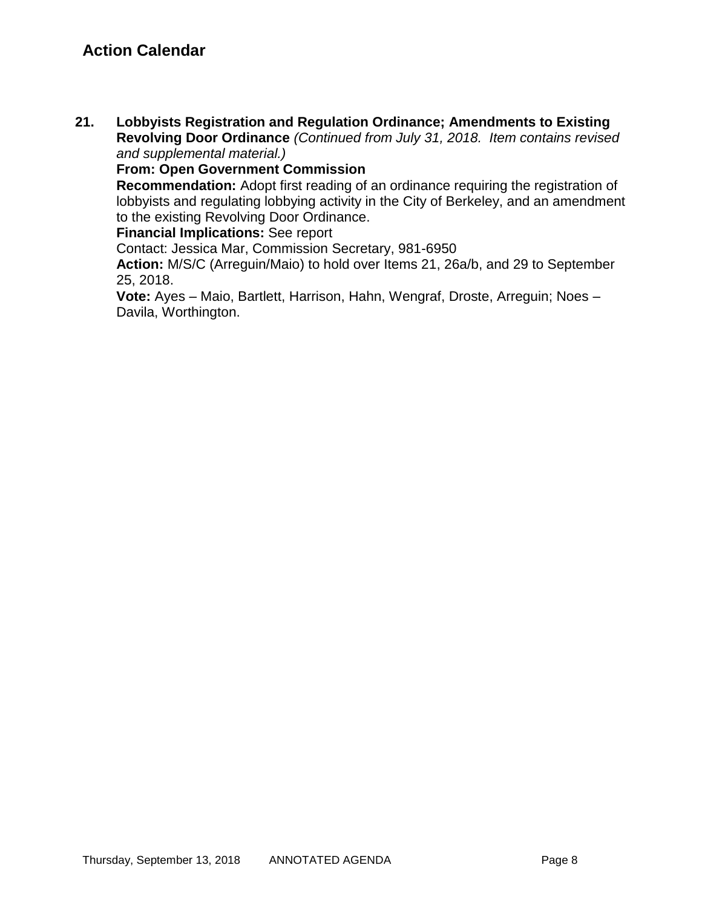**21. Lobbyists Registration and Regulation Ordinance; Amendments to Existing Revolving Door Ordinance** *(Continued from July 31, 2018. Item contains revised and supplemental material.)*

**From: Open Government Commission**

**Recommendation:** Adopt first reading of an ordinance requiring the registration of lobbyists and regulating lobbying activity in the City of Berkeley, and an amendment to the existing Revolving Door Ordinance.

**Financial Implications:** See report

Contact: Jessica Mar, Commission Secretary, 981-6950

**Action:** M/S/C (Arreguin/Maio) to hold over Items 21, 26a/b, and 29 to September 25, 2018.

**Vote:** Ayes – Maio, Bartlett, Harrison, Hahn, Wengraf, Droste, Arreguin; Noes – Davila, Worthington.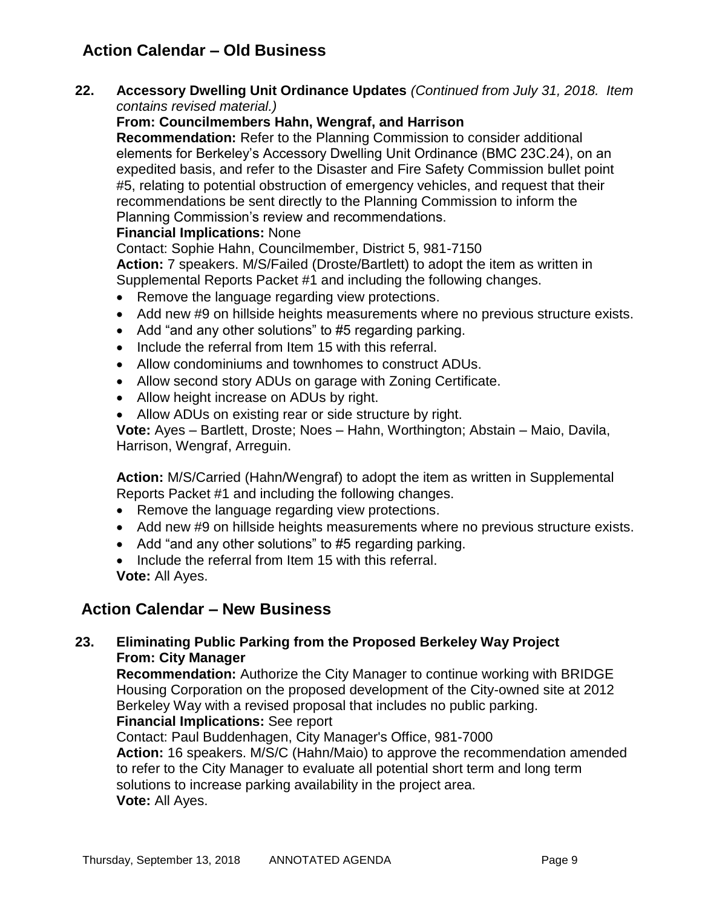# **Action Calendar – Old Business**

**22. Accessory Dwelling Unit Ordinance Updates** *(Continued from July 31, 2018. Item contains revised material.)*

### **From: Councilmembers Hahn, Wengraf, and Harrison**

**Recommendation:** Refer to the Planning Commission to consider additional elements for Berkeley's Accessory Dwelling Unit Ordinance (BMC 23C.24), on an expedited basis, and refer to the Disaster and Fire Safety Commission bullet point #5, relating to potential obstruction of emergency vehicles, and request that their recommendations be sent directly to the Planning Commission to inform the Planning Commission's review and recommendations.

### **Financial Implications:** None

Contact: Sophie Hahn, Councilmember, District 5, 981-7150

**Action:** 7 speakers. M/S/Failed (Droste/Bartlett) to adopt the item as written in Supplemental Reports Packet #1 and including the following changes.

- Remove the language regarding view protections.
- Add new #9 on hillside heights measurements where no previous structure exists.
- Add "and any other solutions" to #5 regarding parking.
- Include the referral from Item 15 with this referral.
- Allow condominiums and townhomes to construct ADUs.
- Allow second story ADUs on garage with Zoning Certificate.
- Allow height increase on ADUs by right.
- Allow ADUs on existing rear or side structure by right.

**Vote:** Ayes – Bartlett, Droste; Noes – Hahn, Worthington; Abstain – Maio, Davila, Harrison, Wengraf, Arreguin.

**Action:** M/S/Carried (Hahn/Wengraf) to adopt the item as written in Supplemental Reports Packet #1 and including the following changes.

- Remove the language regarding view protections.
- Add new #9 on hillside heights measurements where no previous structure exists.
- Add "and any other solutions" to #5 regarding parking.
- Include the referral from Item 15 with this referral.

**Vote:** All Ayes.

# **Action Calendar – New Business**

### **23. Eliminating Public Parking from the Proposed Berkeley Way Project From: City Manager**

**Recommendation:** Authorize the City Manager to continue working with BRIDGE Housing Corporation on the proposed development of the City-owned site at 2012 Berkeley Way with a revised proposal that includes no public parking.

### **Financial Implications:** See report

Contact: Paul Buddenhagen, City Manager's Office, 981-7000 **Action:** 16 speakers. M/S/C (Hahn/Maio) to approve the recommendation amended to refer to the City Manager to evaluate all potential short term and long term solutions to increase parking availability in the project area. **Vote:** All Ayes.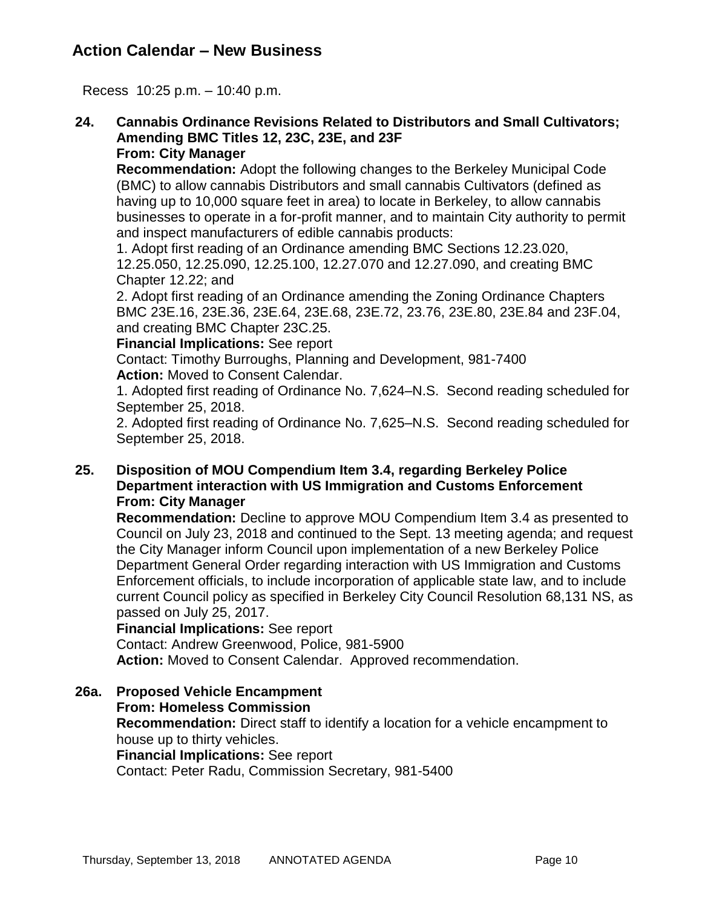# **Action Calendar – New Business**

Recess 10:25 p.m. – 10:40 p.m.

#### **24. Cannabis Ordinance Revisions Related to Distributors and Small Cultivators; Amending BMC Titles 12, 23C, 23E, and 23F From: City Manager**

**Recommendation:** Adopt the following changes to the Berkeley Municipal Code (BMC) to allow cannabis Distributors and small cannabis Cultivators (defined as having up to 10,000 square feet in area) to locate in Berkeley, to allow cannabis businesses to operate in a for-profit manner, and to maintain City authority to permit and inspect manufacturers of edible cannabis products:

1. Adopt first reading of an Ordinance amending BMC Sections 12.23.020, 12.25.050, 12.25.090, 12.25.100, 12.27.070 and 12.27.090, and creating BMC Chapter 12.22; and

2. Adopt first reading of an Ordinance amending the Zoning Ordinance Chapters BMC 23E.16, 23E.36, 23E.64, 23E.68, 23E.72, 23.76, 23E.80, 23E.84 and 23F.04, and creating BMC Chapter 23C.25.

**Financial Implications:** See report

Contact: Timothy Burroughs, Planning and Development, 981-7400 **Action:** Moved to Consent Calendar.

1. Adopted first reading of Ordinance No. 7,624–N.S. Second reading scheduled for September 25, 2018.

2. Adopted first reading of Ordinance No. 7,625–N.S. Second reading scheduled for September 25, 2018.

### **25. Disposition of MOU Compendium Item 3.4, regarding Berkeley Police Department interaction with US Immigration and Customs Enforcement From: City Manager**

**Recommendation:** Decline to approve MOU Compendium Item 3.4 as presented to Council on July 23, 2018 and continued to the Sept. 13 meeting agenda; and request the City Manager inform Council upon implementation of a new Berkeley Police Department General Order regarding interaction with US Immigration and Customs Enforcement officials, to include incorporation of applicable state law, and to include current Council policy as specified in Berkeley City Council Resolution 68,131 NS, as passed on July 25, 2017.

**Financial Implications:** See report

Contact: Andrew Greenwood, Police, 981-5900

**Action:** Moved to Consent Calendar. Approved recommendation.

**26a. Proposed Vehicle Encampment From: Homeless Commission Recommendation:** Direct staff to identify a location for a vehicle encampment to house up to thirty vehicles. **Financial Implications:** See report Contact: Peter Radu, Commission Secretary, 981-5400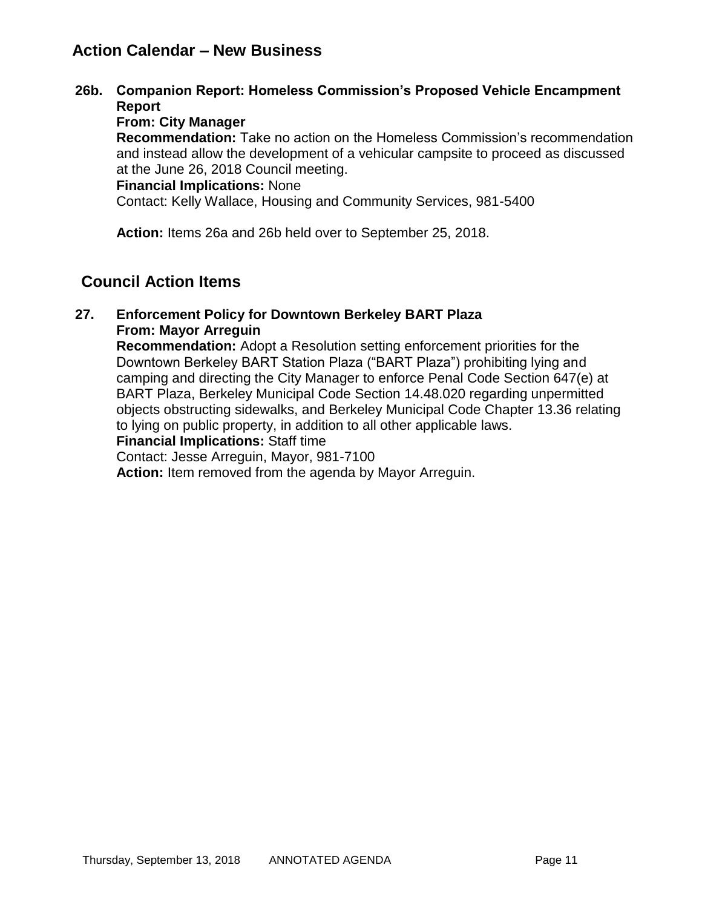# **Action Calendar – New Business**

**26b. Companion Report: Homeless Commission's Proposed Vehicle Encampment Report**

### **From: City Manager**

**Recommendation:** Take no action on the Homeless Commission's recommendation and instead allow the development of a vehicular campsite to proceed as discussed at the June 26, 2018 Council meeting.

### **Financial Implications:** None

Contact: Kelly Wallace, Housing and Community Services, 981-5400

**Action:** Items 26a and 26b held over to September 25, 2018.

# **Council Action Items**

#### **27. Enforcement Policy for Downtown Berkeley BART Plaza From: Mayor Arreguin**

**Recommendation:** Adopt a Resolution setting enforcement priorities for the Downtown Berkeley BART Station Plaza ("BART Plaza") prohibiting lying and camping and directing the City Manager to enforce Penal Code Section 647(e) at BART Plaza, Berkeley Municipal Code Section 14.48.020 regarding unpermitted objects obstructing sidewalks, and Berkeley Municipal Code Chapter 13.36 relating to lying on public property, in addition to all other applicable laws.

#### **Financial Implications:** Staff time

Contact: Jesse Arreguin, Mayor, 981-7100

**Action:** Item removed from the agenda by Mayor Arreguin.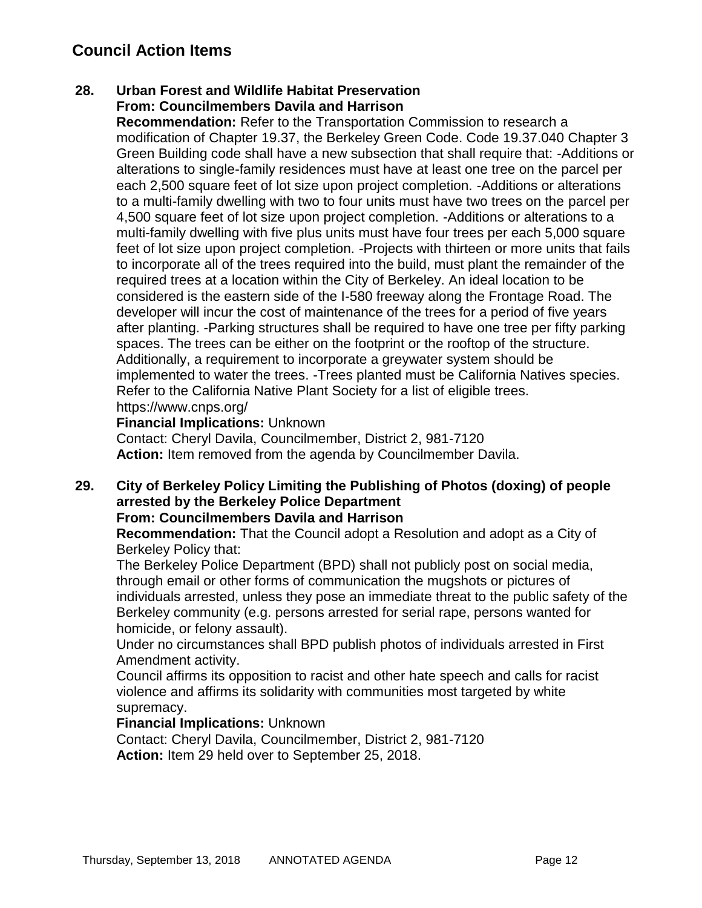# **Council Action Items**

### **28. Urban Forest and Wildlife Habitat Preservation From: Councilmembers Davila and Harrison**

**Recommendation:** Refer to the Transportation Commission to research a modification of Chapter 19.37, the Berkeley Green Code. Code 19.37.040 Chapter 3 Green Building code shall have a new subsection that shall require that: -Additions or alterations to single-family residences must have at least one tree on the parcel per each 2,500 square feet of lot size upon project completion. -Additions or alterations to a multi-family dwelling with two to four units must have two trees on the parcel per 4,500 square feet of lot size upon project completion. -Additions or alterations to a multi-family dwelling with five plus units must have four trees per each 5,000 square feet of lot size upon project completion. -Projects with thirteen or more units that fails to incorporate all of the trees required into the build, must plant the remainder of the required trees at a location within the City of Berkeley. An ideal location to be considered is the eastern side of the I-580 freeway along the Frontage Road. The developer will incur the cost of maintenance of the trees for a period of five years after planting. -Parking structures shall be required to have one tree per fifty parking spaces. The trees can be either on the footprint or the rooftop of the structure. Additionally, a requirement to incorporate a greywater system should be implemented to water the trees. -Trees planted must be California Natives species. Refer to the California Native Plant Society for a list of eligible trees. https://www.cnps.org/

### **Financial Implications:** Unknown

Contact: Cheryl Davila, Councilmember, District 2, 981-7120 **Action:** Item removed from the agenda by Councilmember Davila.

# **29. City of Berkeley Policy Limiting the Publishing of Photos (doxing) of people arrested by the Berkeley Police Department**

### **From: Councilmembers Davila and Harrison**

**Recommendation:** That the Council adopt a Resolution and adopt as a City of Berkeley Policy that:

The Berkeley Police Department (BPD) shall not publicly post on social media, through email or other forms of communication the mugshots or pictures of individuals arrested, unless they pose an immediate threat to the public safety of the Berkeley community (e.g. persons arrested for serial rape, persons wanted for homicide, or felony assault).

Under no circumstances shall BPD publish photos of individuals arrested in First Amendment activity.

Council affirms its opposition to racist and other hate speech and calls for racist violence and affirms its solidarity with communities most targeted by white supremacy.

#### **Financial Implications:** Unknown

Contact: Cheryl Davila, Councilmember, District 2, 981-7120 **Action:** Item 29 held over to September 25, 2018.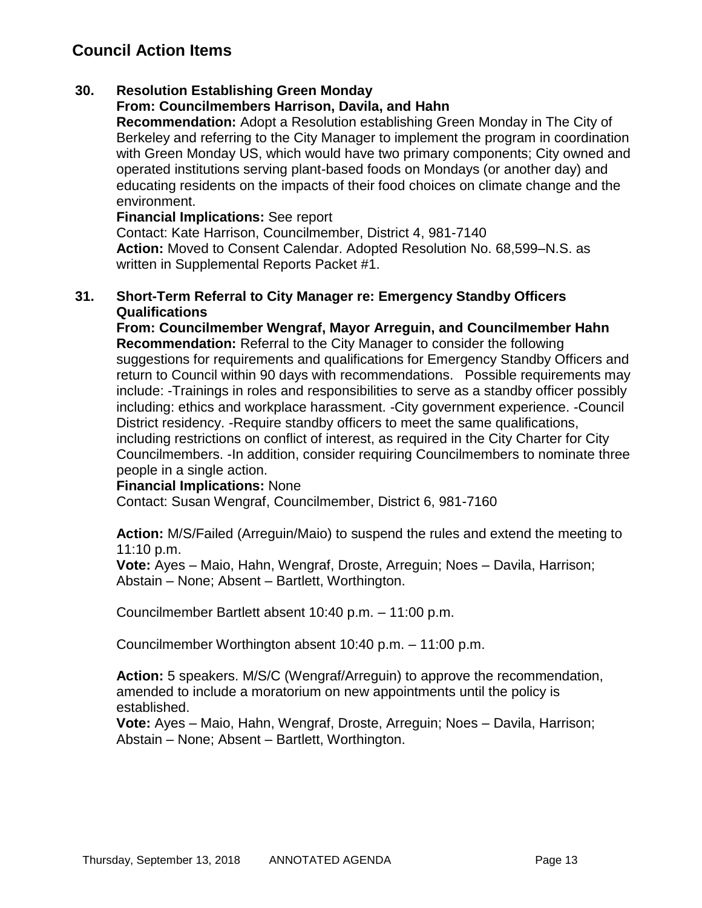# **Council Action Items**

### **30. Resolution Establishing Green Monday**

### **From: Councilmembers Harrison, Davila, and Hahn**

**Recommendation:** Adopt a Resolution establishing Green Monday in The City of Berkeley and referring to the City Manager to implement the program in coordination with Green Monday US, which would have two primary components; City owned and operated institutions serving plant-based foods on Mondays (or another day) and educating residents on the impacts of their food choices on climate change and the environment.

**Financial Implications:** See report

Contact: Kate Harrison, Councilmember, District 4, 981-7140 **Action:** Moved to Consent Calendar. Adopted Resolution No. 68,599–N.S. as written in Supplemental Reports Packet #1.

#### **31. Short-Term Referral to City Manager re: Emergency Standby Officers Qualifications**

**From: Councilmember Wengraf, Mayor Arreguin, and Councilmember Hahn Recommendation:** Referral to the City Manager to consider the following suggestions for requirements and qualifications for Emergency Standby Officers and return to Council within 90 days with recommendations. Possible requirements may include: -Trainings in roles and responsibilities to serve as a standby officer possibly including: ethics and workplace harassment. -City government experience. -Council District residency. -Require standby officers to meet the same qualifications, including restrictions on conflict of interest, as required in the City Charter for City Councilmembers. -In addition, consider requiring Councilmembers to nominate three people in a single action.

#### **Financial Implications:** None

Contact: Susan Wengraf, Councilmember, District 6, 981-7160

**Action:** M/S/Failed (Arreguin/Maio) to suspend the rules and extend the meeting to 11:10 p.m.

**Vote:** Ayes – Maio, Hahn, Wengraf, Droste, Arreguin; Noes – Davila, Harrison; Abstain – None; Absent – Bartlett, Worthington.

Councilmember Bartlett absent 10:40 p.m. – 11:00 p.m.

Councilmember Worthington absent 10:40 p.m. – 11:00 p.m.

**Action:** 5 speakers. M/S/C (Wengraf/Arreguin) to approve the recommendation, amended to include a moratorium on new appointments until the policy is established.

**Vote:** Ayes – Maio, Hahn, Wengraf, Droste, Arreguin; Noes – Davila, Harrison; Abstain – None; Absent – Bartlett, Worthington.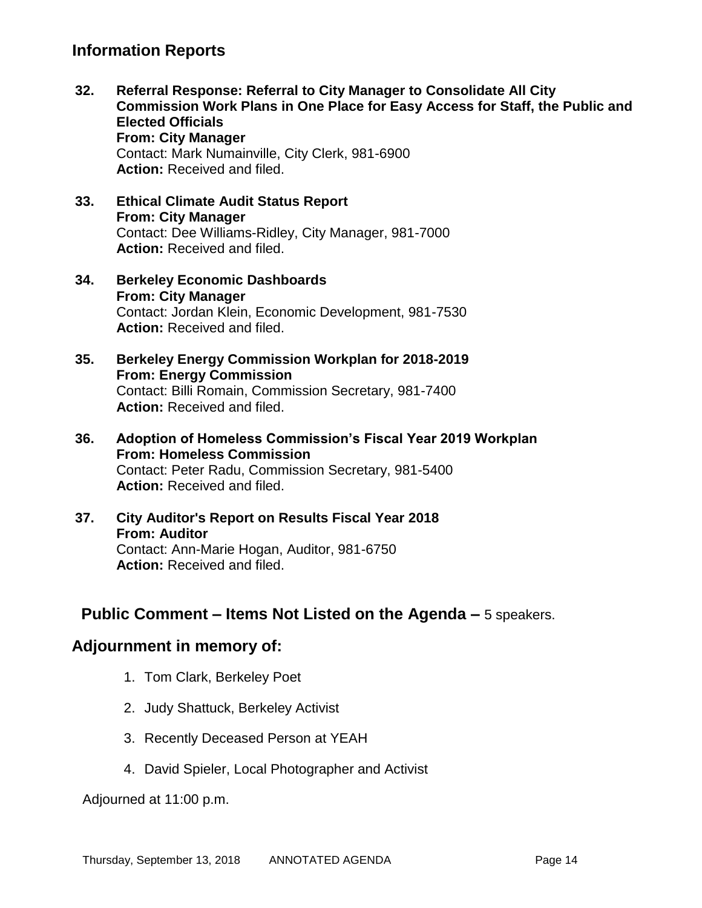# **Information Reports**

- **32. Referral Response: Referral to City Manager to Consolidate All City Commission Work Plans in One Place for Easy Access for Staff, the Public and Elected Officials From: City Manager** Contact: Mark Numainville, City Clerk, 981-6900 **Action:** Received and filed.
- **33. Ethical Climate Audit Status Report From: City Manager** Contact: Dee Williams-Ridley, City Manager, 981-7000 **Action:** Received and filed.
- **34. Berkeley Economic Dashboards From: City Manager** Contact: Jordan Klein, Economic Development, 981-7530 **Action:** Received and filed.
- **35. Berkeley Energy Commission Workplan for 2018-2019 From: Energy Commission** Contact: Billi Romain, Commission Secretary, 981-7400 **Action:** Received and filed.
- **36. Adoption of Homeless Commission's Fiscal Year 2019 Workplan From: Homeless Commission** Contact: Peter Radu, Commission Secretary, 981-5400 **Action:** Received and filed.
- **37. City Auditor's Report on Results Fiscal Year 2018 From: Auditor** Contact: Ann-Marie Hogan, Auditor, 981-6750 **Action:** Received and filed.

# **Public Comment – Items Not Listed on the Agenda –** 5 speakers.

# **Adjournment in memory of:**

- 1. Tom Clark, Berkeley Poet
- 2. Judy Shattuck, Berkeley Activist
- 3. Recently Deceased Person at YEAH
- 4. David Spieler, Local Photographer and Activist

Adjourned at 11:00 p.m.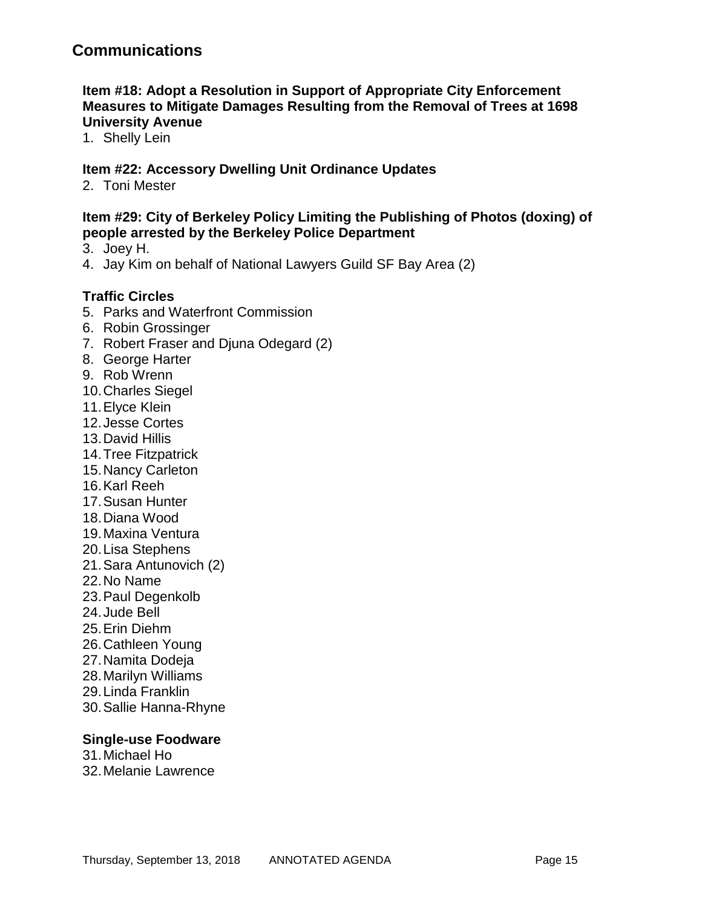### **Item #18: Adopt a Resolution in Support of Appropriate City Enforcement Measures to Mitigate Damages Resulting from the Removal of Trees at 1698 University Avenue**

1. Shelly Lein

### **Item #22: Accessory Dwelling Unit Ordinance Updates**

2. Toni Mester

### **Item #29: City of Berkeley Policy Limiting the Publishing of Photos (doxing) of people arrested by the Berkeley Police Department**

- 3. Joey H.
- 4. Jay Kim on behalf of National Lawyers Guild SF Bay Area (2)

### **Traffic Circles**

- 5. Parks and Waterfront Commission
- 6. Robin Grossinger
- 7. Robert Fraser and Djuna Odegard (2)
- 8. George Harter
- 9. Rob Wrenn
- 10.Charles Siegel
- 11.Elyce Klein
- 12.Jesse Cortes
- 13.David Hillis
- 14.Tree Fitzpatrick
- 15.Nancy Carleton
- 16.Karl Reeh
- 17.Susan Hunter
- 18.Diana Wood
- 19.Maxina Ventura
- 20.Lisa Stephens
- 21.Sara Antunovich (2)
- 22.No Name
- 23.Paul Degenkolb
- 24.Jude Bell
- 25.Erin Diehm
- 26.Cathleen Young
- 27.Namita Dodeja
- 28.Marilyn Williams
- 29.Linda Franklin
- 30.Sallie Hanna-Rhyne

#### **Single-use Foodware**

- 31.Michael Ho
- 32.Melanie Lawrence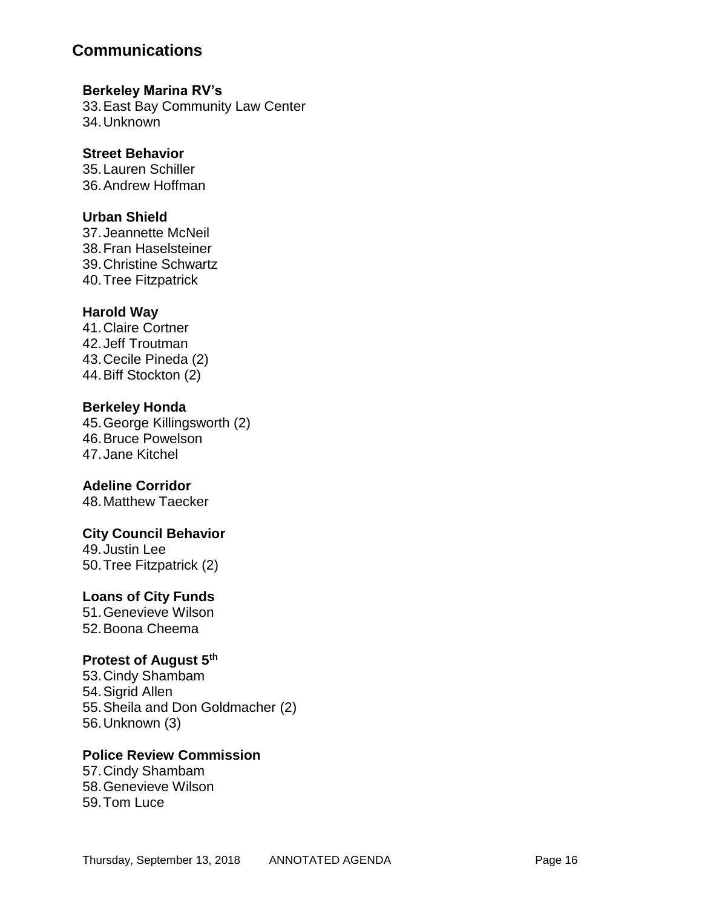### **Berkeley Marina RV's**

33.East Bay Community Law Center 34.Unknown

### **Street Behavior**

35.Lauren Schiller 36.Andrew Hoffman

### **Urban Shield**

37.Jeannette McNeil 38.Fran Haselsteiner 39.Christine Schwartz 40.Tree Fitzpatrick

### **Harold Way**

41.Claire Cortner 42.Jeff Troutman 43.Cecile Pineda (2) 44.Biff Stockton (2)

### **Berkeley Honda**

45.George Killingsworth (2) 46.Bruce Powelson 47.Jane Kitchel

### **Adeline Corridor**

48.Matthew Taecker

### **City Council Behavior**

49.Justin Lee 50.Tree Fitzpatrick (2)

### **Loans of City Funds**

51.Genevieve Wilson 52.Boona Cheema

### **Protest of August 5th**

53.Cindy Shambam 54.Sigrid Allen 55.Sheila and Don Goldmacher (2) 56.Unknown (3)

### **Police Review Commission**

57.Cindy Shambam 58.Genevieve Wilson 59.Tom Luce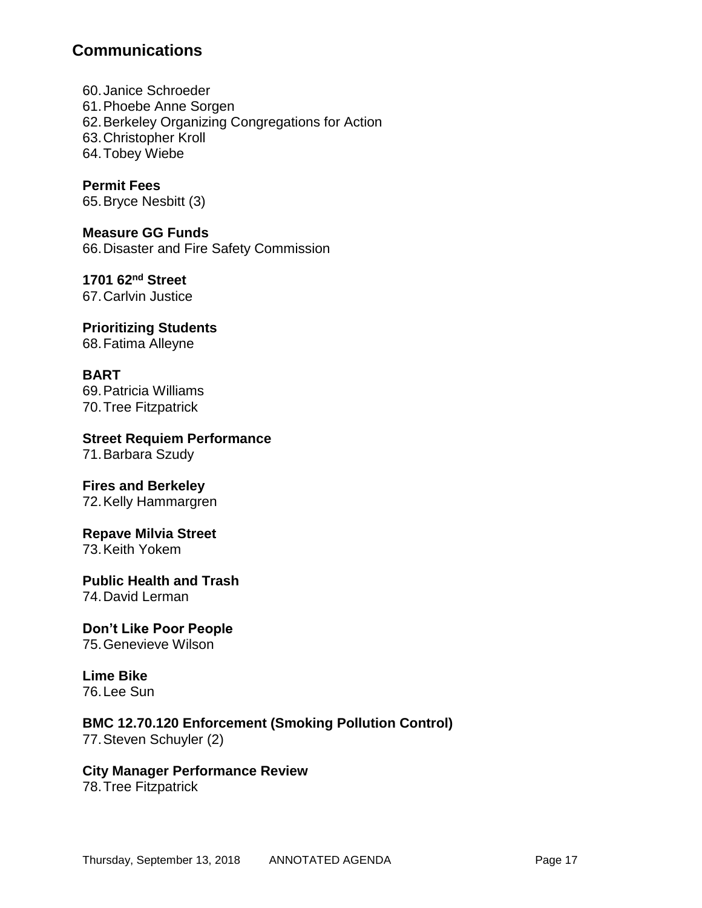60.Janice Schroeder 61.Phoebe Anne Sorgen 62.Berkeley Organizing Congregations for Action 63.Christopher Kroll 64.Tobey Wiebe

**Permit Fees** 65.Bryce Nesbitt (3)

**Measure GG Funds** 66.Disaster and Fire Safety Commission

**1701 62nd Street** 67.Carlvin Justice

**Prioritizing Students** 68.Fatima Alleyne

**BART** 69.Patricia Williams 70.Tree Fitzpatrick

**Street Requiem Performance** 71.Barbara Szudy

**Fires and Berkeley** 72.Kelly Hammargren

**Repave Milvia Street**

73.Keith Yokem

**Public Health and Trash** 74.David Lerman

**Don't Like Poor People** 75.Genevieve Wilson

**Lime Bike** 76.Lee Sun

**BMC 12.70.120 Enforcement (Smoking Pollution Control)** 77.Steven Schuyler (2)

**City Manager Performance Review**

78.Tree Fitzpatrick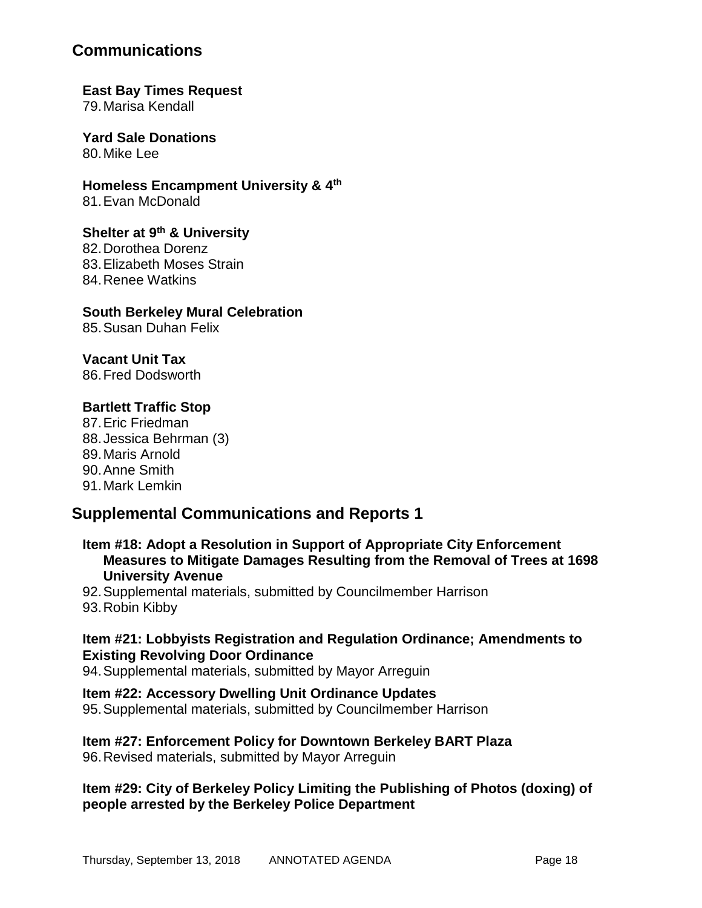#### **East Bay Times Request** 79.Marisa Kendall

**Yard Sale Donations** 80. Mike Lee

**Homeless Encampment University & 4th** 81.Evan McDonald

### **Shelter at 9th & University**

82.Dorothea Dorenz 83.Elizabeth Moses Strain 84.Renee Watkins

### **South Berkeley Mural Celebration**

85.Susan Duhan Felix

### **Vacant Unit Tax**

86.Fred Dodsworth

### **Bartlett Traffic Stop**

87.Eric Friedman 88.Jessica Behrman (3) 89.Maris Arnold 90.Anne Smith 91.Mark Lemkin

# **Supplemental Communications and Reports 1**

**Item #18: Adopt a Resolution in Support of Appropriate City Enforcement Measures to Mitigate Damages Resulting from the Removal of Trees at 1698 University Avenue** 

92.Supplemental materials, submitted by Councilmember Harrison 93.Robin Kibby

### **Item #21: Lobbyists Registration and Regulation Ordinance; Amendments to Existing Revolving Door Ordinance**

94.Supplemental materials, submitted by Mayor Arreguin

**Item #22: Accessory Dwelling Unit Ordinance Updates** 95.Supplemental materials, submitted by Councilmember Harrison

# **Item #27: Enforcement Policy for Downtown Berkeley BART Plaza**

96.Revised materials, submitted by Mayor Arreguin

### **Item #29: City of Berkeley Policy Limiting the Publishing of Photos (doxing) of people arrested by the Berkeley Police Department**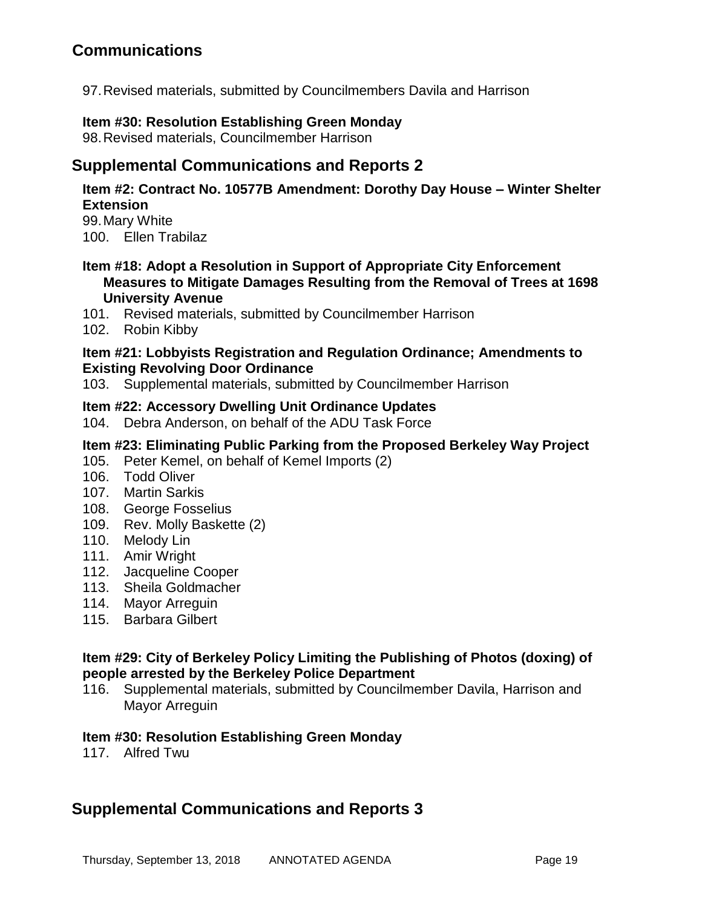97.Revised materials, submitted by Councilmembers Davila and Harrison

#### **Item #30: Resolution Establishing Green Monday**

98.Revised materials, Councilmember Harrison

# **Supplemental Communications and Reports 2**

### **Item #2: Contract No. 10577B Amendment: Dorothy Day House – Winter Shelter Extension**

99.Mary White 100. Ellen Trabilaz

### **Item #18: Adopt a Resolution in Support of Appropriate City Enforcement Measures to Mitigate Damages Resulting from the Removal of Trees at 1698 University Avenue**

- 101. Revised materials, submitted by Councilmember Harrison
- 102. Robin Kibby

### **Item #21: Lobbyists Registration and Regulation Ordinance; Amendments to Existing Revolving Door Ordinance**

103. Supplemental materials, submitted by Councilmember Harrison

### **Item #22: Accessory Dwelling Unit Ordinance Updates**

104. Debra Anderson, on behalf of the ADU Task Force

### **Item #23: Eliminating Public Parking from the Proposed Berkeley Way Project**

- 105. Peter Kemel, on behalf of Kemel Imports (2)
- 106. Todd Oliver
- 107. Martin Sarkis
- 108. George Fosselius
- 109. Rev. Molly Baskette (2)
- 110. Melody Lin
- 111. Amir Wright
- 112. Jacqueline Cooper
- 113. Sheila Goldmacher
- 114. Mayor Arreguin
- 115. Barbara Gilbert

### **Item #29: City of Berkeley Policy Limiting the Publishing of Photos (doxing) of people arrested by the Berkeley Police Department**

116. Supplemental materials, submitted by Councilmember Davila, Harrison and Mayor Arreguin

### **Item #30: Resolution Establishing Green Monday**

117. Alfred Twu

# **Supplemental Communications and Reports 3**